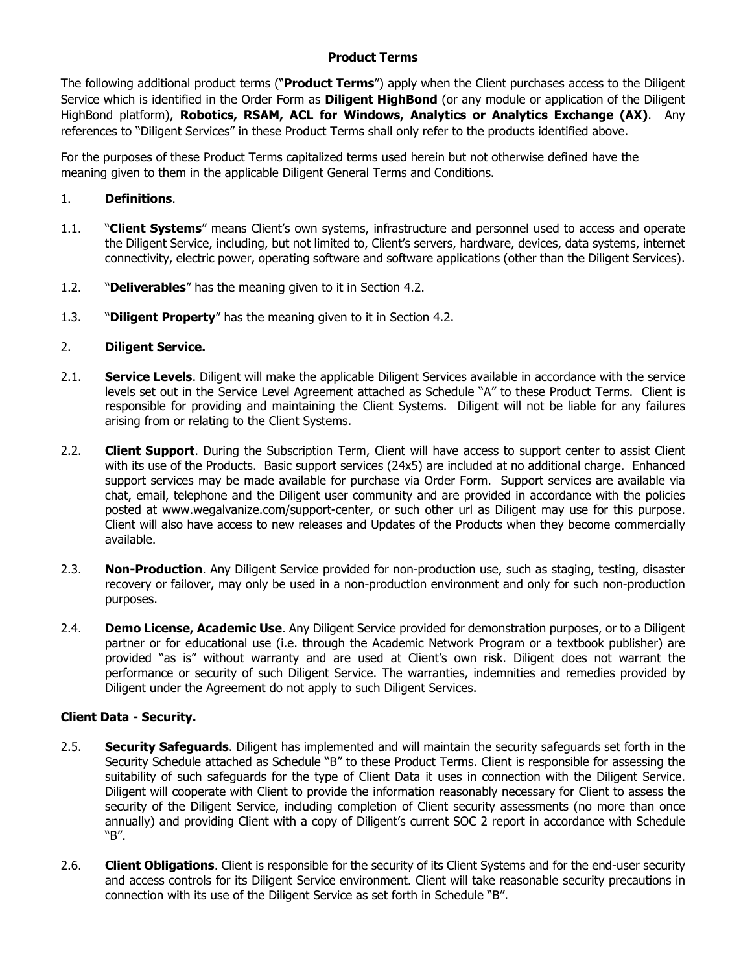#### **Product Terms**

The following additional product terms ("**Product Terms**") apply when the Client purchases access to the Diligent Service which is identified in the Order Form as **Diligent HighBond** (or any module or application of the Diligent HighBond platform), **Robotics, RSAM, ACL for Windows, Analytics or Analytics Exchange (AX)**. Any references to "Diligent Services" in these Product Terms shall only refer to the products identified above.

For the purposes of these Product Terms capitalized terms used herein but not otherwise defined have the meaning given to them in the applicable Diligent General Terms and Conditions.

#### 1. **Definitions**.

- 1.1. "**Client Systems**" means Client's own systems, infrastructure and personnel used to access and operate the Diligent Service, including, but not limited to, Client's servers, hardware, devices, data systems, internet connectivity, electric power, operating software and software applications (other than the Diligent Services).
- 1.2. "**Deliverables**" has the meaning given to it in Section 4.2.
- 1.3. "**Diligent Property**" has the meaning given to it in Section 4.2.

#### 2. **Diligent Service.**

- 2.1. **Service Levels**. Diligent will make the applicable Diligent Services available in accordance with the service levels set out in the Service Level Agreement attached as Schedule "A" to these Product Terms. Client is responsible for providing and maintaining the Client Systems. Diligent will not be liable for any failures arising from or relating to the Client Systems.
- 2.2. **Client Support**. During the Subscription Term, Client will have access to support center to assist Client with its use of the Products. Basic support services (24x5) are included at no additional charge. Enhanced support services may be made available for purchase via Order Form. Support services are available via chat, email, telephone and the Diligent user community and are provided in accordance with the policies posted at www.wegalvanize.com/support-center, or such other url as Diligent may use for this purpose. Client will also have access to new releases and Updates of the Products when they become commercially available.
- 2.3. **Non-Production**. Any Diligent Service provided for non-production use, such as staging, testing, disaster recovery or failover, may only be used in a non-production environment and only for such non-production purposes.
- 2.4. **Demo License, Academic Use**. Any Diligent Service provided for demonstration purposes, or to a Diligent partner or for educational use (i.e. through the Academic Network Program or a textbook publisher) are provided "as is" without warranty and are used at Client's own risk. Diligent does not warrant the performance or security of such Diligent Service. The warranties, indemnities and remedies provided by Diligent under the Agreement do not apply to such Diligent Services.

#### **Client Data - Security.**

- 2.5. **Security Safeguards**. Diligent has implemented and will maintain the security safeguards set forth in the Security Schedule attached as Schedule "B" to these Product Terms. Client is responsible for assessing the suitability of such safeguards for the type of Client Data it uses in connection with the Diligent Service. Diligent will cooperate with Client to provide the information reasonably necessary for Client to assess the security of the Diligent Service, including completion of Client security assessments (no more than once annually) and providing Client with a copy of Diligent's current SOC 2 report in accordance with Schedule "B".
- 2.6. **Client Obligations**. Client is responsible for the security of its Client Systems and for the end-user security and access controls for its Diligent Service environment. Client will take reasonable security precautions in connection with its use of the Diligent Service as set forth in Schedule "B".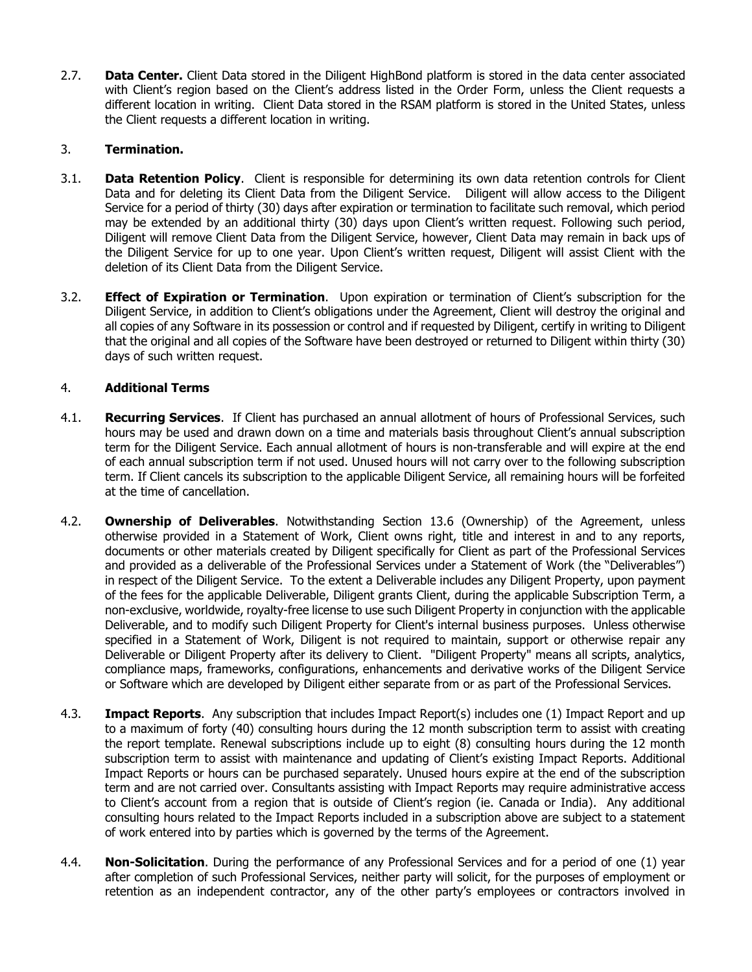2.7. **Data Center.** Client Data stored in the Diligent HighBond platform is stored in the data center associated with Client's region based on the Client's address listed in the Order Form, unless the Client requests a different location in writing. Client Data stored in the RSAM platform is stored in the United States, unless the Client requests a different location in writing.

### 3. **Termination.**

- 3.1. **Data Retention Policy**. Client is responsible for determining its own data retention controls for Client Data and for deleting its Client Data from the Diligent Service. Diligent will allow access to the Diligent Service for a period of thirty (30) days after expiration or termination to facilitate such removal, which period may be extended by an additional thirty (30) days upon Client's written request. Following such period, Diligent will remove Client Data from the Diligent Service, however, Client Data may remain in back ups of the Diligent Service for up to one year. Upon Client's written request, Diligent will assist Client with the deletion of its Client Data from the Diligent Service.
- 3.2. **Effect of Expiration or Termination**. Upon expiration or termination of Client's subscription for the Diligent Service, in addition to Client's obligations under the Agreement, Client will destroy the original and all copies of any Software in its possession or control and if requested by Diligent, certify in writing to Diligent that the original and all copies of the Software have been destroyed or returned to Diligent within thirty (30) days of such written request.

### 4. **Additional Terms**

- 4.1. **Recurring Services**. If Client has purchased an annual allotment of hours of Professional Services, such hours may be used and drawn down on a time and materials basis throughout Client's annual subscription term for the Diligent Service. Each annual allotment of hours is non-transferable and will expire at the end of each annual subscription term if not used. Unused hours will not carry over to the following subscription term. If Client cancels its subscription to the applicable Diligent Service, all remaining hours will be forfeited at the time of cancellation.
- 4.2. **Ownership of Deliverables**. Notwithstanding Section 13.6 (Ownership) of the Agreement, unless otherwise provided in a Statement of Work, Client owns right, title and interest in and to any reports, documents or other materials created by Diligent specifically for Client as part of the Professional Services and provided as a deliverable of the Professional Services under a Statement of Work (the "Deliverables") in respect of the Diligent Service. To the extent a Deliverable includes any Diligent Property, upon payment of the fees for the applicable Deliverable, Diligent grants Client, during the applicable Subscription Term, a non-exclusive, worldwide, royalty-free license to use such Diligent Property in conjunction with the applicable Deliverable, and to modify such Diligent Property for Client's internal business purposes. Unless otherwise specified in a Statement of Work, Diligent is not required to maintain, support or otherwise repair any Deliverable or Diligent Property after its delivery to Client. "Diligent Property" means all scripts, analytics, compliance maps, frameworks, configurations, enhancements and derivative works of the Diligent Service or Software which are developed by Diligent either separate from or as part of the Professional Services.
- 4.3. **Impact Reports**. Any subscription that includes Impact Report(s) includes one (1) Impact Report and up to a maximum of forty (40) consulting hours during the 12 month subscription term to assist with creating the report template. Renewal subscriptions include up to eight (8) consulting hours during the 12 month subscription term to assist with maintenance and updating of Client's existing Impact Reports. Additional Impact Reports or hours can be purchased separately. Unused hours expire at the end of the subscription term and are not carried over. Consultants assisting with Impact Reports may require administrative access to Client's account from a region that is outside of Client's region (ie. Canada or India). Any additional consulting hours related to the Impact Reports included in a subscription above are subject to a statement of work entered into by parties which is governed by the terms of the Agreement.
- 4.4. **Non-Solicitation**. During the performance of any Professional Services and for a period of one (1) year after completion of such Professional Services, neither party will solicit, for the purposes of employment or retention as an independent contractor, any of the other party's employees or contractors involved in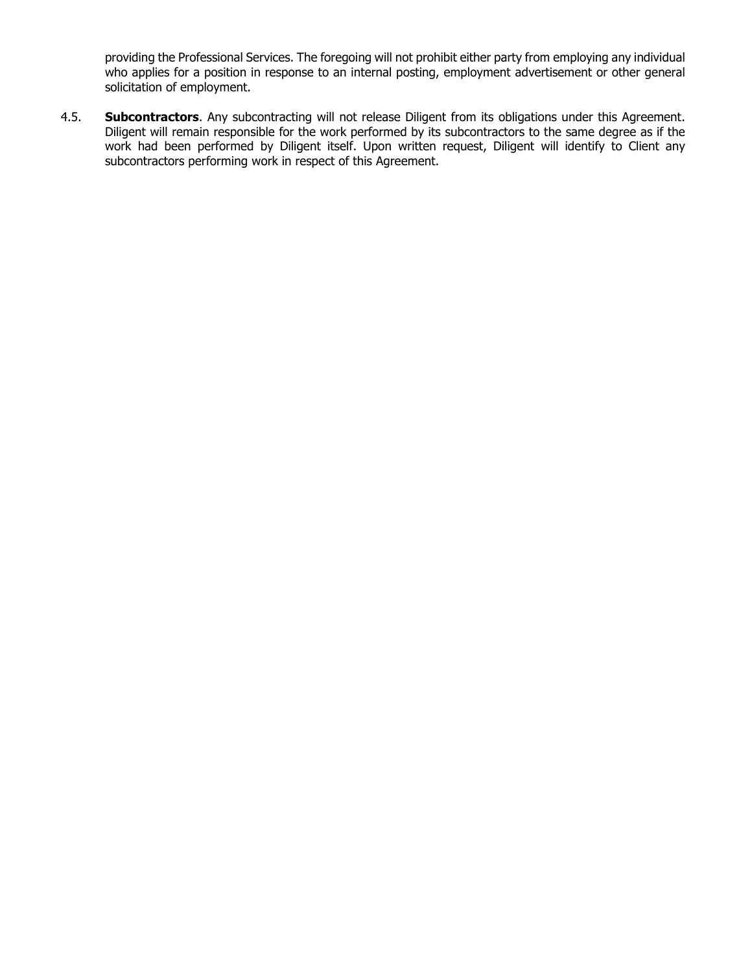providing the Professional Services. The foregoing will not prohibit either party from employing any individual who applies for a position in response to an internal posting, employment advertisement or other general solicitation of employment.

4.5. **Subcontractors**. Any subcontracting will not release Diligent from its obligations under this Agreement. Diligent will remain responsible for the work performed by its subcontractors to the same degree as if the work had been performed by Diligent itself. Upon written request, Diligent will identify to Client any subcontractors performing work in respect of this Agreement.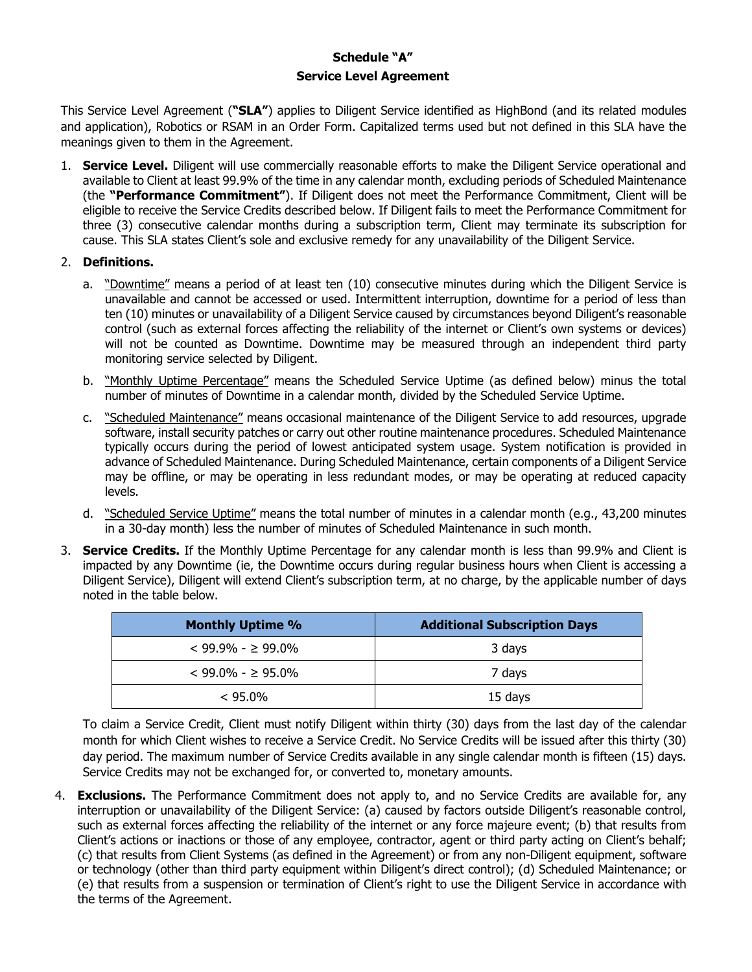# **Schedule "A" Service Level Agreement**

This Service Level Agreement (**"SLA"**) applies to Diligent Service identified as HighBond (and its related modules and application), Robotics or RSAM in an Order Form. Capitalized terms used but not defined in this SLA have the meanings given to them in the Agreement.

1. **Service Level.** Diligent will use commercially reasonable efforts to make the Diligent Service operational and available to Client at least 99.9% of the time in any calendar month, excluding periods of Scheduled Maintenance (the **"Performance Commitment"**). If Diligent does not meet the Performance Commitment, Client will be eligible to receive the Service Credits described below. If Diligent fails to meet the Performance Commitment for three (3) consecutive calendar months during a subscription term, Client may terminate its subscription for cause. This SLA states Client's sole and exclusive remedy for any unavailability of the Diligent Service.

#### 2. **Definitions.**

- a. "Downtime" means a period of at least ten (10) consecutive minutes during which the Diligent Service is unavailable and cannot be accessed or used. Intermittent interruption, downtime for a period of less than ten (10) minutes or unavailability of a Diligent Service caused by circumstances beyond Diligent's reasonable control (such as external forces affecting the reliability of the internet or Client's own systems or devices) will not be counted as Downtime. Downtime may be measured through an independent third party monitoring service selected by Diligent.
- b. "Monthly Uptime Percentage" means the Scheduled Service Uptime (as defined below) minus the total number of minutes of Downtime in a calendar month, divided by the Scheduled Service Uptime.
- c. "Scheduled Maintenance" means occasional maintenance of the Diligent Service to add resources, upgrade software, install security patches or carry out other routine maintenance procedures. Scheduled Maintenance typically occurs during the period of lowest anticipated system usage. System notification is provided in advance of Scheduled Maintenance. During Scheduled Maintenance, certain components of a Diligent Service may be offline, or may be operating in less redundant modes, or may be operating at reduced capacity levels.
- d. "Scheduled Service Uptime" means the total number of minutes in a calendar month (e.g., 43,200 minutes in a 30-day month) less the number of minutes of Scheduled Maintenance in such month.
- 3. **Service Credits.** If the Monthly Uptime Percentage for any calendar month is less than 99.9% and Client is impacted by any Downtime (ie, the Downtime occurs during regular business hours when Client is accessing a Diligent Service), Diligent will extend Client's subscription term, at no charge, by the applicable number of days noted in the table below.

| <b>Monthly Uptime %</b> | <b>Additional Subscription Days</b> |
|-------------------------|-------------------------------------|
| $<$ 99.9% - $>$ 99.0%   | 3 days                              |
| $< 99.0\% - > 95.0\%$   | 7 days                              |
| $< 95.0\%$              | 15 days                             |

To claim a Service Credit, Client must notify Diligent within thirty (30) days from the last day of the calendar month for which Client wishes to receive a Service Credit. No Service Credits will be issued after this thirty (30) day period. The maximum number of Service Credits available in any single calendar month is fifteen (15) days. Service Credits may not be exchanged for, or converted to, monetary amounts.

4. **Exclusions.** The Performance Commitment does not apply to, and no Service Credits are available for, any interruption or unavailability of the Diligent Service: (a) caused by factors outside Diligent's reasonable control, such as external forces affecting the reliability of the internet or any force majeure event; (b) that results from Client's actions or inactions or those of any employee, contractor, agent or third party acting on Client's behalf; (c) that results from Client Systems (as defined in the Agreement) or from any non-Diligent equipment, software or technology (other than third party equipment within Diligent's direct control); (d) Scheduled Maintenance; or (e) that results from a suspension or termination of Client's right to use the Diligent Service in accordance with the terms of the Agreement.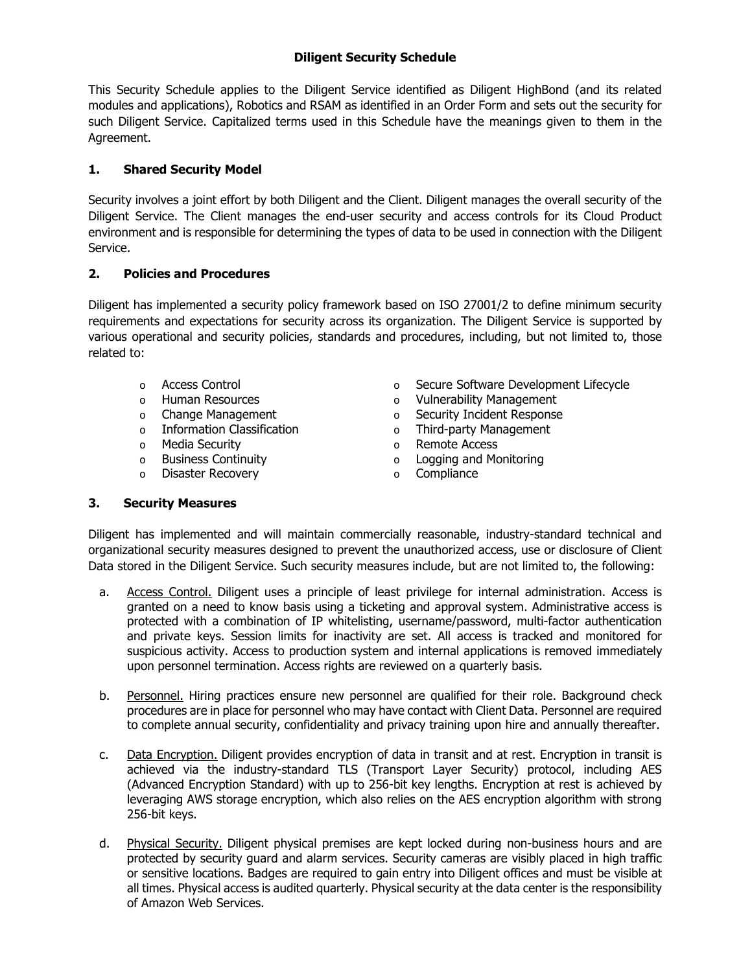# **Diligent Security Schedule**

This Security Schedule applies to the Diligent Service identified as Diligent HighBond (and its related modules and applications), Robotics and RSAM as identified in an Order Form and sets out the security for such Diligent Service. Capitalized terms used in this Schedule have the meanings given to them in the Agreement.

# **1. Shared Security Model**

Security involves a joint effort by both Diligent and the Client. Diligent manages the overall security of the Diligent Service. The Client manages the end-user security and access controls for its Cloud Product environment and is responsible for determining the types of data to be used in connection with the Diligent Service.

### **2. Policies and Procedures**

Diligent has implemented a security policy framework based on ISO 27001/2 to define minimum security requirements and expectations for security across its organization. The Diligent Service is supported by various operational and security policies, standards and procedures, including, but not limited to, those related to:

- o Access Control
- o Human Resources
- o Change Management
- o Information Classification
- o Media Security
- o Business Continuity
- o Disaster Recovery
- o Secure Software Development Lifecycle
- o Vulnerability Management
- o Security Incident Response
- o Third-party Management
	- o Remote Access
		- o Logging and Monitoring
		- o Compliance

### **3. Security Measures**

Diligent has implemented and will maintain commercially reasonable, industry-standard technical and organizational security measures designed to prevent the unauthorized access, use or disclosure of Client Data stored in the Diligent Service. Such security measures include, but are not limited to, the following:

- a. Access Control. Diligent uses a principle of least privilege for internal administration. Access is granted on a need to know basis using a ticketing and approval system. Administrative access is protected with a combination of IP whitelisting, username/password, multi-factor authentication and private keys. Session limits for inactivity are set. All access is tracked and monitored for suspicious activity. Access to production system and internal applications is removed immediately upon personnel termination. Access rights are reviewed on a quarterly basis.
- b. Personnel. Hiring practices ensure new personnel are qualified for their role. Background check procedures are in place for personnel who may have contact with Client Data. Personnel are required to complete annual security, confidentiality and privacy training upon hire and annually thereafter.
- c. Data Encryption. Diligent provides encryption of data in transit and at rest. Encryption in transit is achieved via the industry-standard TLS (Transport Layer Security) protocol, including AES (Advanced Encryption Standard) with up to 256-bit key lengths. Encryption at rest is achieved by leveraging AWS storage encryption, which also relies on the AES encryption algorithm with strong 256-bit keys.
- d. Physical Security. Diligent physical premises are kept locked during non-business hours and are protected by security guard and alarm services. Security cameras are visibly placed in high traffic or sensitive locations. Badges are required to gain entry into Diligent offices and must be visible at all times. Physical access is audited quarterly. Physical security at the data center is the responsibility of Amazon Web Services.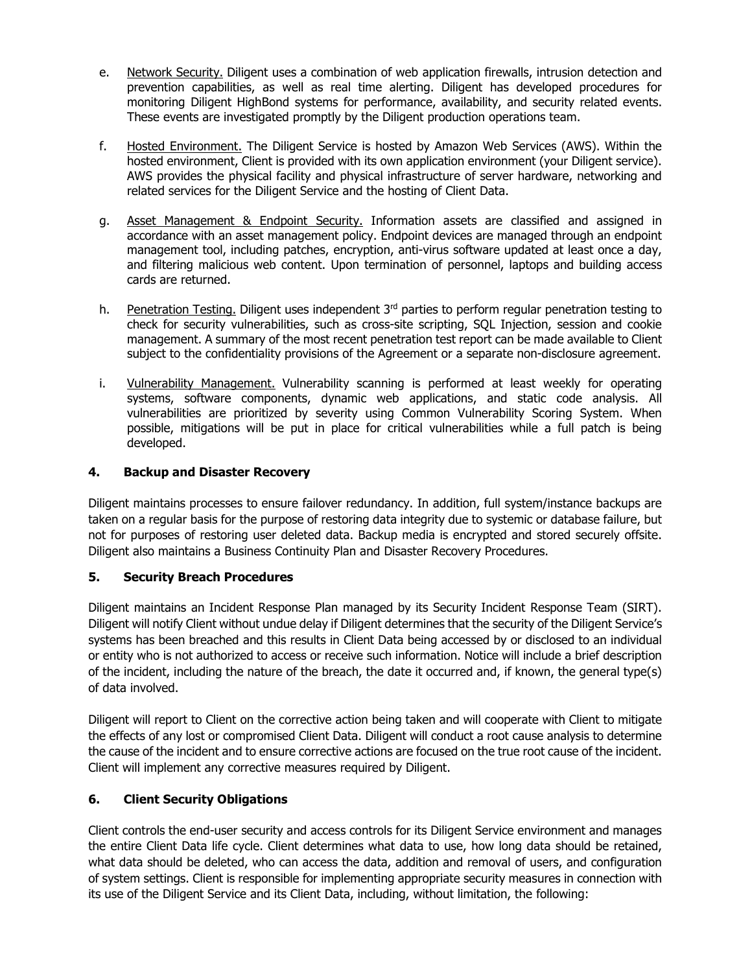- e. Network Security. Diligent uses a combination of web application firewalls, intrusion detection and prevention capabilities, as well as real time alerting. Diligent has developed procedures for monitoring Diligent HighBond systems for performance, availability, and security related events. These events are investigated promptly by the Diligent production operations team.
- f. Hosted Environment. The Diligent Service is hosted by Amazon Web Services (AWS). Within the hosted environment, Client is provided with its own application environment (your Diligent service). AWS provides the physical facility and physical infrastructure of server hardware, networking and related services for the Diligent Service and the hosting of Client Data.
- g. Asset Management & Endpoint Security. Information assets are classified and assigned in accordance with an asset management policy. Endpoint devices are managed through an endpoint management tool, including patches, encryption, anti-virus software updated at least once a day, and filtering malicious web content. Upon termination of personnel, laptops and building access cards are returned.
- h. Penetration Testing. Diligent uses independent 3<sup>rd</sup> parties to perform regular penetration testing to check for security vulnerabilities, such as cross-site scripting, SQL Injection, session and cookie management. A summary of the most recent penetration test report can be made available to Client subject to the confidentiality provisions of the Agreement or a separate non-disclosure agreement.
- i. Vulnerability Management. Vulnerability scanning is performed at least weekly for operating systems, software components, dynamic web applications, and static code analysis. All vulnerabilities are prioritized by severity using Common Vulnerability Scoring System. When possible, mitigations will be put in place for critical vulnerabilities while a full patch is being developed.

### **4. Backup and Disaster Recovery**

Diligent maintains processes to ensure failover redundancy. In addition, full system/instance backups are taken on a regular basis for the purpose of restoring data integrity due to systemic or database failure, but not for purposes of restoring user deleted data. Backup media is encrypted and stored securely offsite. Diligent also maintains a Business Continuity Plan and Disaster Recovery Procedures.

### **5. Security Breach Procedures**

Diligent maintains an Incident Response Plan managed by its Security Incident Response Team (SIRT). Diligent will notify Client without undue delay if Diligent determines that the security of the Diligent Service's systems has been breached and this results in Client Data being accessed by or disclosed to an individual or entity who is not authorized to access or receive such information. Notice will include a brief description of the incident, including the nature of the breach, the date it occurred and, if known, the general type(s) of data involved.

Diligent will report to Client on the corrective action being taken and will cooperate with Client to mitigate the effects of any lost or compromised Client Data. Diligent will conduct a root cause analysis to determine the cause of the incident and to ensure corrective actions are focused on the true root cause of the incident. Client will implement any corrective measures required by Diligent.

### **6. Client Security Obligations**

Client controls the end-user security and access controls for its Diligent Service environment and manages the entire Client Data life cycle. Client determines what data to use, how long data should be retained, what data should be deleted, who can access the data, addition and removal of users, and configuration of system settings. Client is responsible for implementing appropriate security measures in connection with its use of the Diligent Service and its Client Data, including, without limitation, the following: